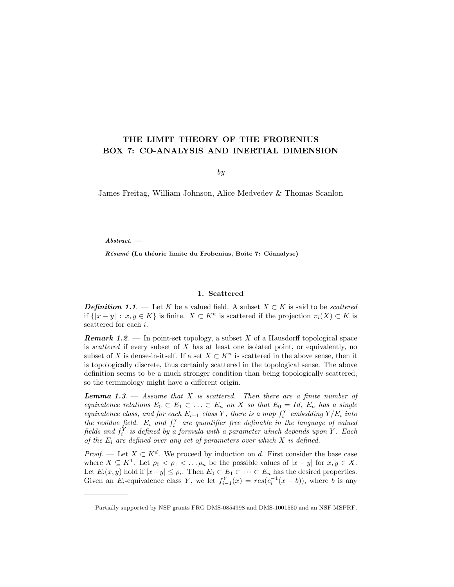## THE LIMIT THEORY OF THE FROBENIUS BOX 7: CO-ANALYSIS AND INERTIAL DIMENSION

by

James Freitag, William Johnson, Alice Medvedev & Thomas Scanlon

Abstract. —

Résumé (La théorie limite du Frobenius, Boîte 7: Cöanalyse)

## 1. Scattered

**Definition 1.1.** — Let K be a valued field. A subset  $X \subset K$  is said to be *scattered* if  $\{|x-y| : x, y \in K\}$  is finite.  $X \subset K^n$  is scattered if the projection  $\pi_i(X) \subset K$  is scattered for each i.

**Remark 1.2.** — In point-set topology, a subset X of a Hausdorff topological space is scattered if every subset of  $X$  has at least one isolated point, or equivalently, no subset of X is dense-in-itself. If a set  $X \subset K^n$  is scattered in the above sense, then it is topologically discrete, thus certainly scattered in the topological sense. The above definition seems to be a much stronger condition than being topologically scattered, so the terminology might have a different origin.

**Lemma 1.3.**  $-$  Assume that X is scattered. Then there are a finite number of equivalence relations  $E_0 \subset E_1 \subset \ldots \subset E_n$  on X so that  $E_0 = Id$ ,  $E_n$  has a single equivalence class, and for each  $E_{i+1}$  class Y, there is a map  $f_i^Y$  embedding  $Y/E_i$  into the residue field.  $E_i$  and  $f_i^Y$  are quantifier free definable in the language of valued fields and  $f_i^Y$  is defined by a formula with a parameter which depends upon Y. Each of the  $E_i$  are defined over any set of parameters over which  $X$  is defined.

*Proof.* — Let  $X \subset K^d$ . We proceed by induction on d. First consider the base case where  $X \subseteq K^1$ . Let  $\rho_0 < \rho_1 < \ldots \rho_n$  be the possible values of  $|x - y|$  for  $x, y \in X$ . Let  $E_i(x, y)$  hold if  $|x-y| \leq \rho_i$ . Then  $E_0 \subset E_1 \subset \cdots \subset E_n$  has the desired properties. Given an  $E_i$ -equivalence class Y, we let  $f_{i-1}^Y(x) = res(c_i^{-1}(x - b))$ , where b is any

Partially supported by NSF grants FRG DMS-0854998 and DMS-1001550 and an NSF MSPRF.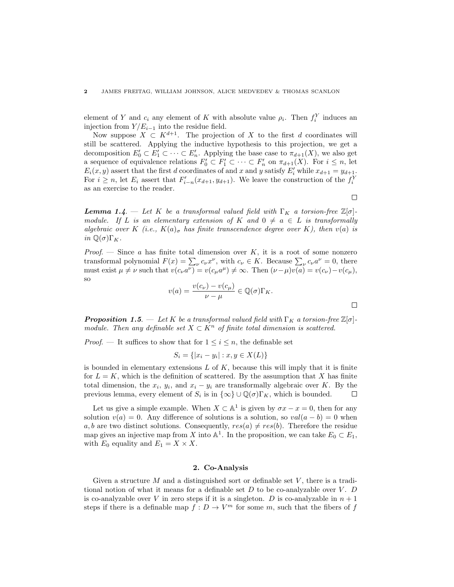element of Y and  $c_i$  any element of K with absolute value  $\rho_i$ . Then  $f_i^Y$  induces an injection from  $Y/E_{i-1}$  into the residue field.

Now suppose  $X \subset K^{d+1}$ . The projection of X to the first d coordinates will still be scattered. Applying the inductive hypothesis to this projection, we get a decomposition  $E'_0 \subset E'_1 \subset \cdots \subset E'_n$ . Applying the base case to  $\pi_{d+1}(X)$ , we also get a sequence of equivalence relations  $F'_0 \subset F'_1 \subset \cdots \subset F'_n$  on  $\pi_{d+1}(X)$ . For  $i \leq n$ , let  $E_i(x, y)$  assert that the first d coordinates of and x and y satisfy  $E'_i$  while  $x_{d+1} = y_{d+1}$ . For  $i \geq n$ , let  $E_i$  assert that  $F'_{i-n}(x_{d+1}, y_{d+1})$ . We leave the construction of the  $f_i^Y$ as an exercise to the reader.

**Lemma 1.4.** — Let K be a transformal valued field with  $\Gamma_K$  a torsion-free  $\mathbb{Z}[\sigma]$ module. If L is an elementary extension of K and  $0 \neq a \in L$  is transformally algebraic over K (i.e.,  $K(a)_{\sigma}$  has finite transcendence degree over K), then  $v(a)$  is in  $\mathbb{Q}(\sigma)\Gamma_K$ .

*Proof.* — Since a has finite total dimension over  $K$ , it is a root of some nonzero transformal polynomial  $F(x) = \sum_{\nu} c_{\nu} x^{\nu}$ , with  $c_{\nu} \in K$ . Because  $\sum_{\nu} c_{\nu} a^{\nu} = 0$ , there must exist  $\mu \neq \nu$  such that  $v(c_{\nu}a^{\nu}) = v(c_{\mu}a^{\mu}) \neq \infty$ . Then  $(\nu - \mu)v(a) = v(c_{\nu}) - v(c_{\mu}),$ so

$$
v(a) = \frac{v(c_{\nu}) - v(c_{\mu})}{\nu - \mu} \in \mathbb{Q}(\sigma)\Gamma_K.
$$

 $\Box$ 

 $\Box$ 

**Proposition 1.5.** — Let K be a transformal valued field with  $\Gamma_K$  a torsion-free  $\mathbb{Z}[\sigma]$ module. Then any definable set  $X \subset K^n$  of finite total dimension is scattered.

*Proof.* — It suffices to show that for  $1 \leq i \leq n$ , the definable set

$$
S_i = \{ |x_i - y_i| : x, y \in X(L) \}
$$

is bounded in elementary extensions  $L$  of  $K$ , because this will imply that it is finite for  $L = K$ , which is the definition of scattered. By the assumption that X has finite total dimension, the  $x_i$ ,  $y_i$ , and  $x_i - y_i$  are transformally algebraic over K. By the previous lemma, every element of  $S_i$  is in  $\{\infty\} \cup \mathbb{Q}(\sigma) \Gamma_K$ , which is bounded.  $\Box$ 

Let us give a simple example. When  $X \subset \mathbb{A}^1$  is given by  $\sigma x - x = 0$ , then for any solution  $v(a) = 0$ . Any difference of solutions is a solution, so  $val(a - b) = 0$  when a, b are two distinct solutions. Consequently,  $res(a) \neq res(b)$ . Therefore the residue map gives an injective map from X into  $\mathbb{A}^1$ . In the proposition, we can take  $E_0 \subset E_1$ , with  $E_0$  equality and  $E_1 = X \times X$ .

## 2. Co-Analysis

Given a structure  $M$  and a distinguished sort or definable set  $V$ , there is a traditional notion of what it means for a definable set  $D$  to be co-analyzable over  $V$ .  $D$ is co-analyzable over V in zero steps if it is a singleton. D is co-analyzable in  $n + 1$ steps if there is a definable map  $f: D \to V^m$  for some m, such that the fibers of f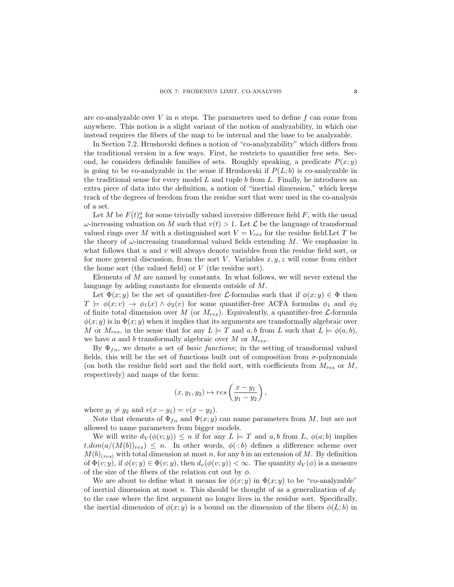are co-analyzable over  $V$  in  $n$  steps. The parameters used to define  $f$  can come from anywhere. This notion is a slight variant of the notion of analyzability, in which one instead requires the fibers of the map to be internal and the base to be analyzable.

In Section 7.2, Hrushovski defines a notion of "co-analyzability" which differs from the traditional version in a few ways. First, he restricts to quantifier free sets. Second, he considers definable families of sets. Roughly speaking, a predicate  $P(x; y)$ is going to be co-analyzable in the sense if Hrushovski if  $P(L; b)$  is co-analyzable in the traditional sense for every model  $L$  and tuple  $b$  from  $L$ . Finally, he introduces an extra piece of data into the definition, a notion of "inertial dimension," which keeps track of the degrees of freedom from the residue sort that were used in the co-analysis of a set.

Let M be  $F(t)_{\sigma}^{a}$  for some trivially valued inversive difference field F, with the usual  $ω$ -increasing valuation on M such that  $v(t) > 1$ . Let  $\mathcal L$  be the language of transformal valued rings over M with a distinguished sort  $V = V_{res}$  for the residue field. Let T be the theory of  $\omega$ -increasing transformal valued fields extending M. We emphasize in what follows that  $u$  and  $v$  will always denote variables from the residue field sort, or for more general discussion, from the sort V. Variables  $x, y, z$  will come from either the home sort (the valued field) or V (the residue sort).

Elements of  $M$  are named by constants. In what follows, we will never extend the language by adding constants for elements outside of M.

Let  $\Phi(x; y)$  be the set of quantifier-free *L*-formulas such that if  $\phi(x; y) \in \Phi$  then  $T \models \phi(x; v) \rightarrow \phi_1(x) \land \phi_2(v)$  for some quantifier-free ACFA formulas  $\phi_1$  and  $\phi_2$ of finite total dimension over M (or  $M_{res}$ ). Equivalently, a quantifier-free  $\mathcal{L}$ -formula  $\phi(x; y)$  is in  $\Phi(x; y)$  when it implies that its arguments are transformally algebraic over M or  $M_{res}$ , in the sense that for any  $L \models T$  and  $a, b$  from L such that  $L \models \phi(a, b)$ , we have a and b transformally algebraic over  $M$  or  $M_{res}$ .

By  $\Phi_{fn}$ , we denote a set of *basic functions*; in the setting of transformal valued fields, this will be the set of functions built out of composition from  $\sigma$ -polynomials (on both the residue field sort and the field sort, with coefficients from  $M_{res}$  or  $M$ , respectively) and maps of the form:

$$
(x,y_1,y_2)\mapsto res\left(\frac{x-y_1}{y_1-y_2}\right),\,
$$

where  $y_1 \neq y_2$  and  $v(x - y_1) = v(x - y_2)$ .

Note that elements of  $\Phi_{fn}$  and  $\Phi(x; y)$  can name parameters from M, but are not allowed to name parameters from bigger models.

We will write  $d_V(\phi(v; y)) \leq n$  if for any  $L \models T$  and  $a, b$  from  $L, \phi(a; b)$  implies  $t.dim(a/(M(b))_{res}) \leq n$ . In other words,  $\phi(\cdot;b)$  defines a difference scheme over  $M(b)_{(res)}$  with total dimension at most n, for any b in an extension of M. By definition of  $\Phi(v; y)$ , if  $\phi(v; y) \in \Phi(v; y)$ , then  $d_v(\phi(v; y)) < \infty$ . The quantity  $d_V(\phi)$  is a measure of the size of the fibers of the relation cut out by  $\phi$ .

We are about to define what it means for  $\phi(x; y)$  in  $\Phi(x; y)$  to be "co-analyzable" of inertial dimension at most n. This should be thought of as a generalization of  $d_V$ to the case where the first argument no longer lives in the residue sort. Specifically, the inertial dimension of  $\phi(x; y)$  is a bound on the dimension of the fibers  $\phi(L; b)$  in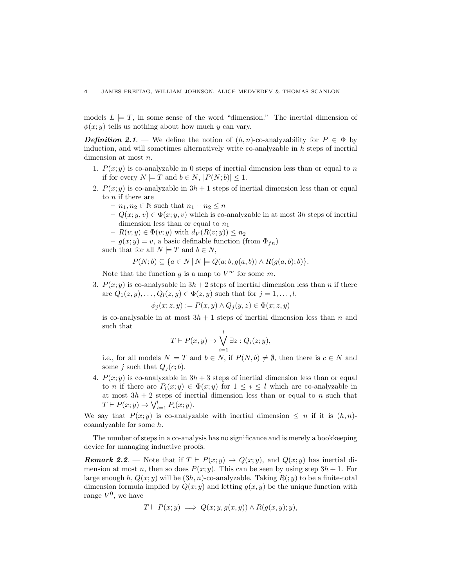models  $L \models T$ , in some sense of the word "dimension." The inertial dimension of  $\phi(x; y)$  tells us nothing about how much y can vary.

**Definition 2.1.** — We define the notion of  $(h, n)$ -co-analyzability for  $P \in \Phi$  by induction, and will sometimes alternatively write co-analyzable in  $h$  steps of inertial dimension at most n.

- 1.  $P(x; y)$  is co-analyzable in 0 steps of inertial dimension less than or equal to n if for every  $N \models T$  and  $b \in N$ ,  $|P(N;b)| \leq 1$ .
- 2.  $P(x; y)$  is co-analyzable in  $3h + 1$  steps of inertial dimension less than or equal to  $n$  if there are
	- $n_1, n_2 \in \mathbb{N}$  such that  $n_1 + n_2 \leq n$
	- $-Q(x; y, v) \in \Phi(x; y, v)$  which is co-analyzable in at most 3h steps of inertial dimension less than or equal to  $n_1$
	- $-R(v; y) \in \Phi(v; y)$  with  $d_V(R(v; y)) \leq n_2$
	- $-g(x; y) = v$ , a basic definable function (from  $\Phi_{fn}$ )
	- such that for all  $N \models T$  and  $b \in N$ ,

$$
P(N; b) \subseteq \{a \in N \mid N \models Q(a; b, g(a, b)) \land R(g(a, b); b)\}.
$$

Note that the function  $g$  is a map to  $V^m$  for some  $m$ .

3.  $P(x; y)$  is co-analysable in  $3h + 2$  steps of inertial dimension less than n if there are  $Q_1(z, y), \ldots, Q_l(z, y) \in \Phi(z, y)$  such that for  $j = 1, \ldots, l$ ,

$$
\phi_j(x; z, y) := P(x, y) \land Q_j(y, z) \in \Phi(x; z, y)
$$

is co-analysable in at most  $3h + 1$  steps of inertial dimension less than n and such that

$$
T \vdash P(x, y) \rightarrow \bigvee_{i=1}^{l} \exists z : Q_i(z; y),
$$

i.e., for all models  $N \models T$  and  $b \in N$ , if  $P(N, b) \neq \emptyset$ , then there is  $c \in N$  and some j such that  $Q_i(c; b)$ .

4.  $P(x; y)$  is co-analyzable in  $3h + 3$  steps of inertial dimension less than or equal to *n* if there are  $P_i(x; y) \in \Phi(x; y)$  for  $1 \leq i \leq l$  which are co-analyzable in at most  $3h + 2$  steps of inertial dimension less than or equal to n such that  $T \vdash P(x; y) \rightarrow \bigvee_{i=1}^{l} P_i(x; y).$ 

We say that  $P(x; y)$  is co-analyzable with inertial dimension  $\leq n$  if it is  $(h, n)$ coanalyzable for some h.

The number of steps in a co-analysis has no significance and is merely a bookkeeping device for managing inductive proofs.

**Remark 2.2.** — Note that if  $T \vdash P(x; y) \rightarrow Q(x; y)$ , and  $Q(x; y)$  has inertial dimension at most n, then so does  $P(x; y)$ . This can be seen by using step  $3h + 1$ . For large enough h,  $Q(x; y)$  will be  $(3h, n)$ -co-analyzable. Taking  $R(y)$  to be a finite-total dimension formula implied by  $Q(x, y)$  and letting  $q(x, y)$  be the unique function with range  $V^0$ , we have

$$
T \vdash P(x; y) \implies Q(x; y, g(x, y)) \land R(g(x, y); y),
$$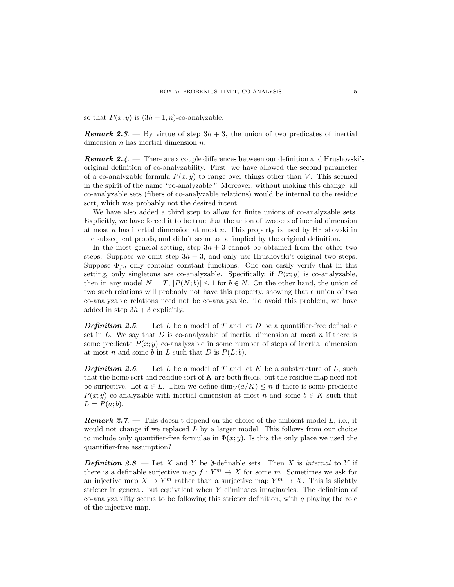so that  $P(x; y)$  is  $(3h + 1, n)$ -co-analyzable.

**Remark 2.3.** — By virtue of step  $3h + 3$ , the union of two predicates of inertial dimension  $n$  has inertial dimension  $n$ .

**Remark 2.4.** — There are a couple differences between our definition and Hrushovski's original definition of co-analyzability. First, we have allowed the second parameter of a co-analyzable formula  $P(x; y)$  to range over things other than V. This seemed in the spirit of the name "co-analyzable." Moreover, without making this change, all co-analyzable sets (fibers of co-analyzable relations) would be internal to the residue sort, which was probably not the desired intent.

We have also added a third step to allow for finite unions of co-analyzable sets. Explicitly, we have forced it to be true that the union of two sets of inertial dimension at most  $n$  has inertial dimension at most  $n$ . This property is used by Hrushovski in the subsequent proofs, and didn't seem to be implied by the original definition.

In the most general setting, step  $3h + 3$  cannot be obtained from the other two steps. Suppose we omit step  $3h + 3$ , and only use Hrushovski's original two steps. Suppose  $\Phi_{fn}$  only contains constant functions. One can easily verify that in this setting, only singletons are co-analyzable. Specifically, if  $P(x; y)$  is co-analyzable, then in any model  $N = T$ ,  $|P(N; b)| \leq 1$  for  $b \in N$ . On the other hand, the union of two such relations will probably not have this property, showing that a union of two co-analyzable relations need not be co-analyzable. To avoid this problem, we have added in step  $3h + 3$  explicitly.

**Definition 2.5.** — Let L be a model of T and let D be a quantifier-free definable set in L. We say that D is co-analyzable of inertial dimension at most n if there is some predicate  $P(x; y)$  co-analyzable in some number of steps of inertial dimension at most n and some b in L such that D is  $P(L; b)$ .

**Definition 2.6.** — Let L be a model of T and let K be a substructure of L, such that the home sort and residue sort of K are both fields, but the residue map need not be surjective. Let  $a \in L$ . Then we define  $\dim_V(a/K) \leq n$  if there is some predicate  $P(x; y)$  co-analyzable with inertial dimension at most n and some  $b \in K$  such that  $L \models P(a;b).$ 

**Remark 2.7.** — This doesn't depend on the choice of the ambient model  $L$ , i.e., it would not change if we replaced  $L$  by a larger model. This follows from our choice to include only quantifier-free formulae in  $\Phi(x; y)$ . Is this the only place we used the quantifier-free assumption?

**Definition 2.8.** — Let X and Y be  $\emptyset$ -definable sets. Then X is internal to Y if there is a definable surjective map  $f: Y^m \to X$  for some m. Sometimes we ask for an injective map  $X \to Y^m$  rather than a surjective map  $Y^m \to X$ . This is slightly stricter in general, but equivalent when Y eliminates imaginaries. The definition of co-analyzability seems to be following this stricter definition, with q playing the role of the injective map.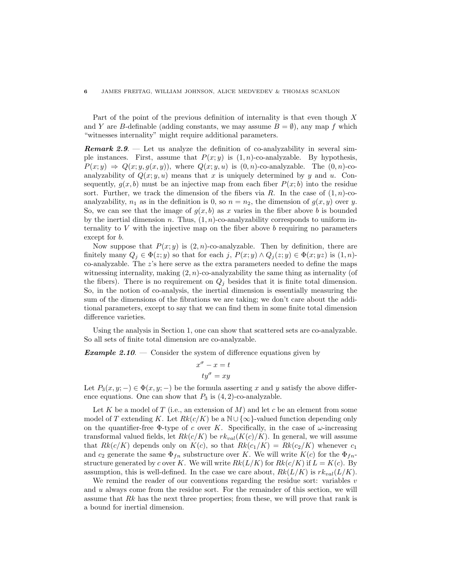Part of the point of the previous definition of internality is that even though X and Y are B-definable (adding constants, we may assume  $B = \emptyset$ ), any map f which "witnesses internality" might require additional parameters.

**Remark 2.9.** — Let us analyze the definition of co-analyzability in several simple instances. First, assume that  $P(x; y)$  is  $(1, n)$ -co-analyzable. By hypothesis,  $P(x; y) \Rightarrow Q(x; y, g(x, y))$ , where  $Q(x; y, u)$  is  $(0, n)$ -co-analyzable. The  $(0, n)$ -coanalyzability of  $Q(x; y, u)$  means that x is uniquely determined by y and u. Consequently,  $g(x, b)$  must be an injective map from each fiber  $P(x; b)$  into the residue sort. Further, we track the dimension of the fibers via R. In the case of  $(1, n)$ -coanalyzability,  $n_1$  as in the definition is 0, so  $n = n_2$ , the dimension of  $g(x, y)$  over y. So, we can see that the image of  $g(x, b)$  as x varies in the fiber above b is bounded by the inertial dimension n. Thus,  $(1, n)$ -co-analyzability corresponds to uniform internality to  $V$  with the injective map on the fiber above  $b$  requiring no parameters except for b.

Now suppose that  $P(x; y)$  is  $(2, n)$ -co-analyzable. Then by definition, there are finitely many  $Q_j \in \Phi(z; y)$  so that for each j,  $P(x; y) \wedge Q_j(z; y) \in \Phi(x; yz)$  is  $(1, n)$ co-analyzable. The z's here serve as the extra parameters needed to define the maps witnessing internality, making  $(2, n)$ -co-analyzability the same thing as internality (of the fibers). There is no requirement on  $Q_i$  besides that it is finite total dimension. So, in the notion of co-analysis, the inertial dimension is essentially measuring the sum of the dimensions of the fibrations we are taking; we don't care about the additional parameters, except to say that we can find them in some finite total dimension difference varieties.

Using the analysis in Section 1, one can show that scattered sets are co-analyzable. So all sets of finite total dimension are co-analyzable.

**Example 2.10.** — Consider the system of difference equations given by

$$
x^{\sigma} - x = t
$$

$$
ty^{\sigma} = xy
$$

Let  $P_3(x, y; -) \in \Phi(x, y; -)$  be the formula asserting x and y satisfy the above difference equations. One can show that  $P_3$  is  $(4, 2)$ -co-analyzable.

Let K be a model of T (i.e., an extension of M) and let c be an element from some model of T extending K. Let  $Rk(c/K)$  be a  $\mathbb{N}\cup\{\infty\}$ -valued function depending only on the quantifier-free  $\Phi$ -type of c over K. Specifically, in the case of  $\omega$ -increasing transformal valued fields, let  $Rk(c/K)$  be  $rk_{val}(K(c)/K)$ . In general, we will assume that  $Rk(c/K)$  depends only on  $K(c)$ , so that  $Rk(c_1/K) = Rk(c_2/K)$  whenever  $c_1$ and  $c_2$  generate the same  $\Phi_{fn}$  substructure over K. We will write  $K(c)$  for the  $\Phi_{fn}$ structure generated by c over K. We will write  $Rk(L/K)$  for  $Rk(c/K)$  if  $L = K(c)$ . By assumption, this is well-defined. In the case we care about,  $Rk(L/K)$  is  $rk_{val}(L/K)$ .

We remind the reader of our conventions regarding the residue sort: variables  $v$ and  $u$  always come from the residue sort. For the remainder of this section, we will assume that  $Rk$  has the next three properties; from these, we will prove that rank is a bound for inertial dimension.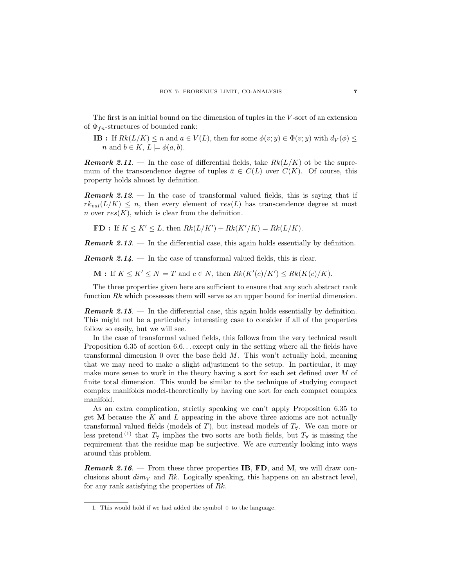The first is an initial bound on the dimension of tuples in the  $V$ -sort of an extension of  $\Phi_{fn}$ -structures of bounded rank:

**IB** : If  $Rk(L/K) \leq n$  and  $a \in V(L)$ , then for some  $\phi(v; y) \in \Phi(v; y)$  with  $d_V(\phi) \leq$ *n* and  $b \in K$ ,  $L \models \phi(a, b)$ .

**Remark 2.11.** — In the case of differential fields, take  $Rk(L/K)$  ot be the supremum of the transcendence degree of tuples  $\bar{a} \in C(L)$  over  $C(K)$ . Of course, this property holds almost by definition.

**Remark 2.12.** — In the case of transformal valued fields, this is saying that if  $rk_{val}(L/K) \leq n$ , then every element of  $res(L)$  has transcendence degree at most n over  $res(K)$ , which is clear from the definition.

**FD**: If  $K \le K' \le L$ , then  $Rk(L/K') + Rk(K'/K) = Rk(L/K)$ .

**Remark 2.13.** — In the differential case, this again holds essentially by definition.

**Remark 2.14.** — In the case of transformal valued fields, this is clear.

 $\mathbf{M}$ : If  $K \leq K' \leq N \models T$  and  $c \in N$ , then  $Rk(K'(c)/K') \leq Rk(K(c)/K)$ .

The three properties given here are sufficient to ensure that any such abstract rank function Rk which possesses them will serve as an upper bound for inertial dimension.

**Remark 2.15.** — In the differential case, this again holds essentially by definition. This might not be a particularly interesting case to consider if all of the properties follow so easily, but we will see.

In the case of transformal valued fields, this follows from the very technical result Proposition 6.35 of section 6.6... except only in the setting where all the fields have transformal dimension 0 over the base field  $M$ . This won't actually hold, meaning that we may need to make a slight adjustment to the setup. In particular, it may make more sense to work in the theory having a sort for each set defined over M of finite total dimension. This would be similar to the technique of studying compact complex manifolds model-theoretically by having one sort for each compact complex manifold.

As an extra complication, strictly speaking we can't apply Proposition 6.35 to get  **because the**  $K$  **and**  $L$  **appearing in the above three axioms are not actually** transformal valued fields (models of T), but instead models of  $T<sub>Y</sub>$ . We can more or less pretend<sup>(1)</sup> that  $T_\forall$  implies the two sorts are both fields, but  $T_\forall$  is missing the requirement that the residue map be surjective. We are currently looking into ways around this problem.

**Remark 2.16.** – From these three properties IB, FD, and M, we will draw conclusions about  $dim_V$  and Rk. Logically speaking, this happens on an abstract level, for any rank satisfying the properties of Rk.

<sup>1.</sup> This would hold if we had added the symbol  $\div$  to the language.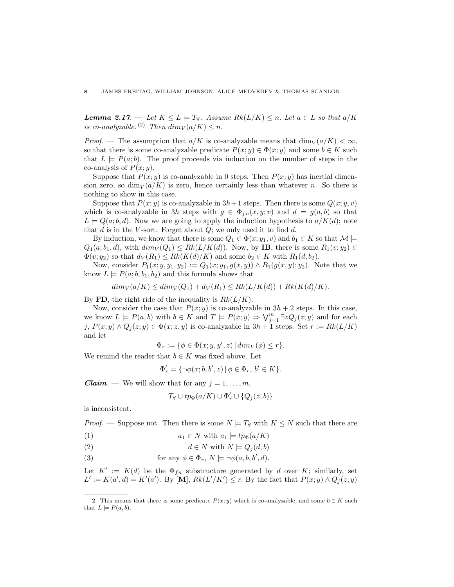**Lemma 2.17.** — Let  $K \leq L \models T_{\forall}$ . Assume  $Rk(L/K) \leq n$ . Let  $a \in L$  so that  $a/K$ is co-analyzable.<sup>(2)</sup> Then  $dim_V(a/K) \leq n$ .

*Proof.* — The assumption that  $a/K$  is co-analyzable means that  $\dim_V(a/K) < \infty$ , so that there is some co-analyzable predicate  $P(x; y) \in \Phi(x; y)$  and some  $b \in K$  such that  $L \models P(a;b)$ . The proof proceeds via induction on the number of steps in the co-analysis of  $P(x; y)$ .

Suppose that  $P(x; y)$  is co-analyzable in 0 steps. Then  $P(x; y)$  has inertial dimension zero, so  $\dim_V(a/K)$  is zero, hence certainly less than whatever n. So there is nothing to show in this case.

Suppose that  $P(x; y)$  is co-analyzable in  $3h+1$  steps. Then there is some  $Q(x; y, v)$ which is co-analyzable in 3h steps with  $g \in \Phi_{fn}(x, y; v)$  and  $d = g(a, b)$  so that  $L \models Q(a; b, d)$ . Now we are going to apply the induction hypothesis to  $a/K(d)$ ; note that  $d$  is in the V-sort. Forget about  $Q$ ; we only used it to find  $d$ .

By induction, we know that there is some  $Q_1 \in \Phi(x; y_1, v)$  and  $b_1 \in K$  so that  $\mathcal{M} \models$  $Q_1(a; b_1, d)$ , with  $dim_V(Q_1) \leq Rk(L/K(d))$ . Now, by **IB**, there is some  $R_1(v; y_2) \in$  $\Phi(v; y_2)$  so that  $d_V(R_1) \leq Rk(K(d)/K)$  and some  $b_2 \in K$  with  $R_1(d, b_2)$ .

Now, consider  $P_1(x; y, y_1, y_2) := Q_1(x; y_1, g(x, y)) \wedge R_1(g(x, y); y_2)$ . Note that we know  $L \models P(a; b, b_1, b_2)$  and this formula shows that

$$
dim_V(a/K) \leq dim_V(Q_1) + d_V(R_1) \leq Rk(L/K(d)) + Rk(K(d)/K).
$$

By FD, the right ride of the inequality is  $Rk(L/K)$ .

Now, consider the case that  $P(x; y)$  is co-analyzable in  $3h + 2$  steps. In this case, we know  $L \models P(a, b)$  with  $b \in K$  and  $T \models P(x, y) \Rightarrow \bigvee_{j=1}^{m} \exists z Q_j(z, y)$  and for each j,  $P(x; y) \wedge Q_i(z; y) \in \Phi(x; z, y)$  is co-analyzable in  $3h + 1$  steps. Set  $r := Rk(L/K)$ and let

 $\Phi_r := \{ \phi \in \Phi(x; y, y', z) \, | \, dim_V(\phi) \leq r \}.$ 

We remind the reader that  $b \in K$  was fixed above. Let

$$
\Phi'_r = \{\neg \phi(x;b,b',z) \, | \, \phi \in \Phi_r, \, b' \in K\}.
$$

**Claim.** — We will show that for any  $j = 1, \ldots, m$ ,

$$
T_\forall \cup tp_\Phi(a/K) \cup \Phi'_r \cup \{Q_j(z,b)\}
$$

is inconsistent.

*Proof.* — Suppose not. Then there is some  $N \models T_{\forall}$  with  $K \leq N$  such that there are

- (1)  $a_1 \in N$  with  $a_1 \models tp_{\Phi}(a/K)$
- (2)  $d \in N$  with  $N \models Q_i(d, b)$
- (3) for any  $\phi \in \Phi_r$ ,  $N \models \neg \phi(a, b, b', d)$ .

Let  $K' := K(d)$  be the  $\Phi_{fn}$  substructure generated by d over K; similarly, set  $L' := K(a', d) = K'(a')$ . By [M],  $Rk(L'/K') \leq r$ . By the fact that  $P(x; y) \wedge Q_j(z; y)$ 

<sup>2.</sup> This means that there is some predicate  $P(x; y)$  which is co-analyzable, and some  $b \in K$  such that  $L \models P(a, b)$ .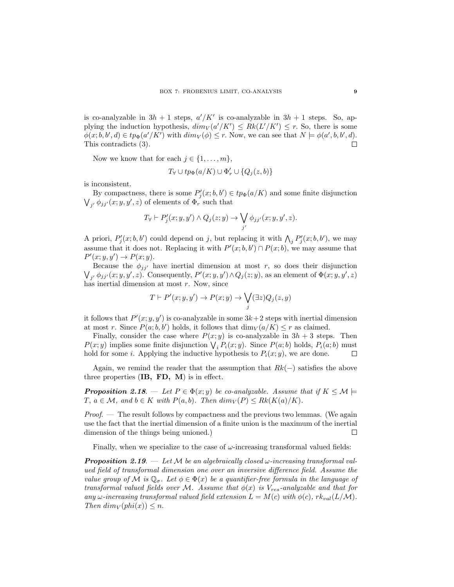is co-analyzable in  $3h + 1$  steps,  $a'/K'$  is co-analyzable in  $3h + 1$  steps. So, applying the induction hypothesis,  $dim_V(a'/K') \leq Rk(L'/K') \leq r$ . So, there is some  $\phi(x;b,b',d) \in tp_{\Phi}(a'/K')$  with  $dim_V(\phi) \leq r$ . Now, we can see that  $N \models \phi(a',b,b',d)$ .  $\Box$ This contradicts (3).

Now we know that for each  $j \in \{1, \ldots, m\}$ ,

$$
T_{\forall} \cup tp_{\Phi}(a/K) \cup \Phi'_{r} \cup \{Q_{j}(z,b)\}\
$$

is inconsistent.

By compactness, there is some  $P'_{j}(x; b, b') \in tp_{\Phi}(a/K)$  and some finite disjunction  $\bigvee_{j'} \phi_{jj'}(x; y, y', z)$  of elements of  $\Phi_r$  such that

$$
T_{\forall} \vdash P'_{j}(x; y, y') \land Q_{j}(z; y) \rightarrow \bigvee_{j'} \phi_{jj'}(x; y, y', z).
$$

A priori,  $P'_j(x; b, b')$  could depend on j, but replacing it with  $\bigwedge_j P'_j(x; b, b')$ , we may assume that it does not. Replacing it with  $P'(x; b, b') \cap P(x; b)$ , we may assume that  $P'(x; y, y') \rightarrow P(x; y).$ 

Because the  $\phi_{jj'}$  have inertial dimension at most r, so does their disjunction  $\bigvee_{j'} \phi_{jj'}(x; y, y', z)$ . Consequently,  $P'(x; y, y') \wedge Q_j(z; y)$ , as an element of  $\Phi(x; y, y', z)$ has inertial dimension at most  $r$ . Now, since

$$
T \vdash P'(x; y, y') \to P(x; y) \to \bigvee_j (\exists z) Q_j(z, y)
$$

it follows that  $P'(x; y, y')$  is co-analyzable in some  $3k+2$  steps with inertial dimension at most r. Since  $P(a;b,b')$  holds, it follows that  $\dim_V(a/K) \leq r$  as claimed.

Finally, consider the case where  $P(x; y)$  is co-analyzable in  $3h + 3$  steps. Then  $P(x; y)$  implies some finite disjunction  $\bigvee_i P_i(x; y)$ . Since  $P(a; b)$  holds,  $P_i(a; b)$  must hold for some *i*. Applying the inductive hypothesis to  $P_i(x; y)$ , we are done. Г

Again, we remind the reader that the assumption that  $Rk(-)$  satisfies the above three properties  $(IB, FD, M)$  is in effect.

**Proposition 2.18.** — Let  $P \in \Phi(x; y)$  be co-analyzable. Assume that if  $K \leq \mathcal{M}$  $T, a \in \mathcal{M}$ , and  $b \in K$  with  $P(a, b)$ . Then  $dim_V(P) \leq Rk(K(a)/K)$ .

*Proof.* — The result follows by compactness and the previous two lemmas. (We again use the fact that the inertial dimension of a finite union is the maximum of the inertial dimension of the things being unioned.)  $\Box$ 

Finally, when we specialize to the case of  $\omega$ -increasing transformal valued fields:

**Proposition 2.19.** — Let M be an algebraically closed  $\omega$ -increasing transformal valued field of transformal dimension one over an inversive difference field. Assume the value group of M is  $\mathbb{Q}_{\sigma}$ . Let  $\phi \in \Phi(x)$  be a quantifier-free formula in the language of transformal valued fields over M. Assume that  $\phi(x)$  is  $V_{res}$ -analyzable and that for any  $\omega$ -increasing transformal valued field extension  $L = M(c)$  with  $\phi(c)$ ,  $rk_{val}(L/M)$ . Then  $dim_V (phi(x)) \leq n$ .